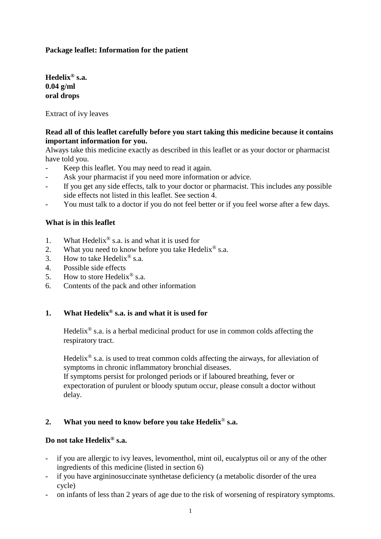## **Package leaflet: Information for the patient**

**Hedelix® s.a. 0.04 g/ml oral drops**

Extract of ivy leaves

## **Read all of this leaflet carefully before you start taking this medicine because it contains important information for you.**

Always take this medicine exactly as described in this leaflet or as your doctor or pharmacist have told you.

- Keep this leaflet. You may need to read it again.
- Ask your pharmacist if you need more information or advice.
- If you get any side effects, talk to your doctor or pharmacist. This includes any possible side effects not listed in this leaflet. See section 4.
- You must talk to a doctor if you do not feel better or if you feel worse after a few days.

### **What is in this leaflet**

- 1. What Hedelix<sup>®</sup> s.a. is and what it is used for
- 2. What you need to know before you take Hedelix<sup>®</sup> s.a.
- 3. How to take Hedelix<sup>®</sup> s.a.
- 4. Possible side effects
- 5. How to store Hedelix<sup>®</sup> s.a.
- 6. Contents of the pack and other information

# **1. What Hedelix® s.a. is and what it is used for**

Hedelix<sup>®</sup> s.a. is a herbal medicinal product for use in common colds affecting the respiratory tract.

Hedelix<sup>®</sup> s.a. is used to treat common colds affecting the airways, for alleviation of symptoms in chronic inflammatory bronchial diseases.

If symptoms persist for prolonged periods or if laboured breathing, fever or expectoration of purulent or bloody sputum occur, please consult a doctor without delay.

# **2. What you need to know before you take Hedelix**® **s.a.**

### **Do not take Hedelix® s.a.**

- if you are allergic to ivy leaves, levomenthol, mint oil, eucalyptus oil or any of the other ingredients of this medicine (listed in section 6)
- if you have argininosuccinate synthetase deficiency (a metabolic disorder of the urea cycle)
- on infants of less than 2 years of age due to the risk of worsening of respiratory symptoms.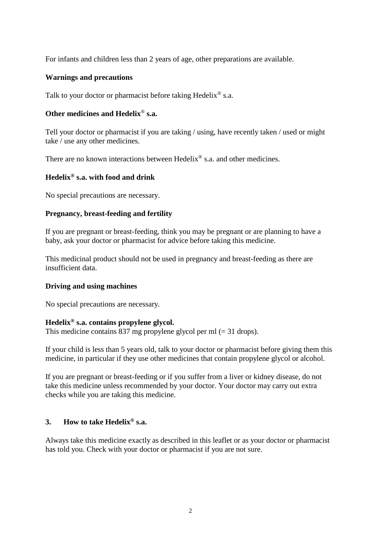For infants and children less than 2 years of age, other preparations are available.

### **Warnings and precautions**

Talk to your doctor or pharmacist before taking Hedelix<sup>®</sup> s.a.

## **Other medicines and Hedelix**® **s.a.**

Tell your doctor or pharmacist if you are taking / using, have recently taken / used or might take / use any other medicines.

There are no known interactions between Hedelix<sup>®</sup> s.a. and other medicines.

## **Hedelix® s.a. with food and drink**

No special precautions are necessary.

### **Pregnancy, breast-feeding and fertility**

If you are pregnant or breast-feeding, think you may be pregnant or are planning to have a baby, ask your doctor or pharmacist for advice before taking this medicine.

This medicinal product should not be used in pregnancy and breast-feeding as there are insufficient data.

# **Driving and using machines**

No special precautions are necessary.

#### **Hedelix® s.a. contains propylene glycol.**

This medicine contains 837 mg propylene glycol per ml  $(= 31$  drops).

If your child is less than 5 years old, talk to your doctor or pharmacist before giving them this medicine, in particular if they use other medicines that contain propylene glycol or alcohol.

If you are pregnant or breast-feeding or if you suffer from a liver or kidney disease, do not take this medicine unless recommended by your doctor. Your doctor may carry out extra checks while you are taking this medicine.

#### **3. How to take Hedelix® s.a.**

Always take this medicine exactly as described in this leaflet or as your doctor or pharmacist has told you. Check with your doctor or pharmacist if you are not sure.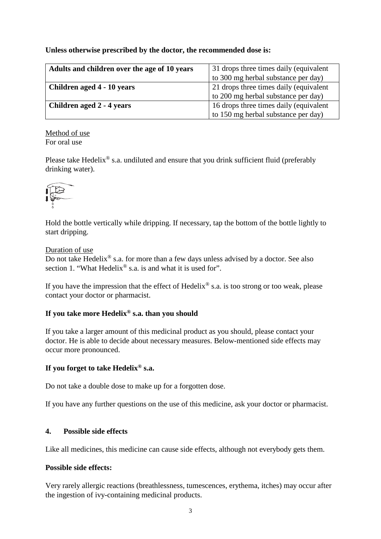## **Unless otherwise prescribed by the doctor, the recommended dose is:**

| Adults and children over the age of 10 years | 31 drops three times daily (equivalent |
|----------------------------------------------|----------------------------------------|
|                                              | to 300 mg herbal substance per day)    |
| Children aged 4 - 10 years                   | 21 drops three times daily (equivalent |
|                                              | to 200 mg herbal substance per day)    |
| Children aged 2 - 4 years                    | 16 drops three times daily (equivalent |
|                                              | to 150 mg herbal substance per day)    |

Method of use For oral use

Please take Hedelix<sup>®</sup> s.a. undiluted and ensure that you drink sufficient fluid (preferably drinking water).



Hold the bottle vertically while dripping. If necessary, tap the bottom of the bottle lightly to start dripping.

#### Duration of use

Do not take Hedelix<sup>®</sup> s.a. for more than a few days unless advised by a doctor. See also section 1. "What Hedelix<sup>®</sup> s.a. is and what it is used for".

If you have the impression that the effect of Hedelix<sup>®</sup> s.a. is too strong or too weak, please contact your doctor or pharmacist.

# **If you take more Hedelix® s.a. than you should**

If you take a larger amount of this medicinal product as you should, please contact your doctor. He is able to decide about necessary measures. Below-mentioned side effects may occur more pronounced.

#### **If you forget to take Hedelix® s.a.**

Do not take a double dose to make up for a forgotten dose.

If you have any further questions on the use of this medicine, ask your doctor or pharmacist.

#### **4. Possible side effects**

Like all medicines, this medicine can cause side effects, although not everybody gets them.

#### **Possible side effects:**

Very rarely allergic reactions (breathlessness, tumescences, erythema, itches) may occur after the ingestion of ivy-containing medicinal products.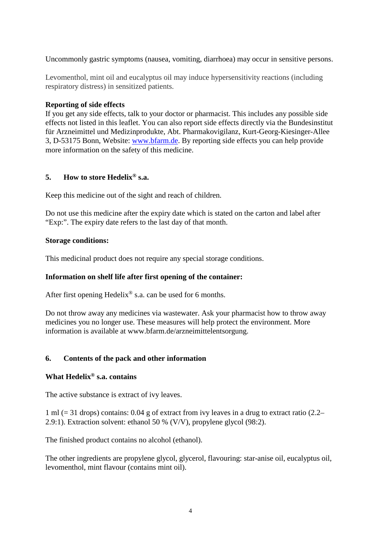Uncommonly gastric symptoms (nausea, vomiting, diarrhoea) may occur in sensitive persons.

Levomenthol, mint oil and eucalyptus oil may induce hypersensitivity reactions (including respiratory distress) in sensitized patients.

## **Reporting of side effects**

If you get any side effects, talk to your doctor or pharmacist. This includes any possible side effects not listed in this leaflet. You can also report side effects directly via the Bundesinstitut für Arzneimittel und Medizinprodukte, Abt. Pharmakovigilanz, Kurt-Georg-Kiesinger-Allee 3, D-53175 Bonn, Website: [www.bfarm.de.](http://www.bfarm.de/) By reporting side effects you can help provide more information on the safety of this medicine.

### **5. How to store Hedelix® s.a.**

Keep this medicine out of the sight and reach of children.

Do not use this medicine after the expiry date which is stated on the carton and label after "Exp:". The expiry date refers to the last day of that month.

### **Storage conditions:**

This medicinal product does not require any special storage conditions.

# **Information on shelf life after first opening of the container:**

After first opening Hedelix® s.a. can be used for 6 months.

Do not throw away any medicines via wastewater. Ask your pharmacist how to throw away medicines you no longer use. These measures will help protect the environment. More information is available at www.bfarm.de/arzneimittelentsorgung.

# **6. Contents of the pack and other information**

## **What Hedelix® s.a. contains**

The active substance is extract of ivy leaves.

1 ml (= 31 drops) contains: 0.04 g of extract from ivy leaves in a drug to extract ratio (2.2– 2.9:1). Extraction solvent: ethanol 50 % (V/V), propylene glycol (98:2).

The finished product contains no alcohol (ethanol).

The other ingredients are propylene glycol, glycerol, flavouring: star-anise oil, eucalyptus oil, levomenthol, mint flavour (contains mint oil).